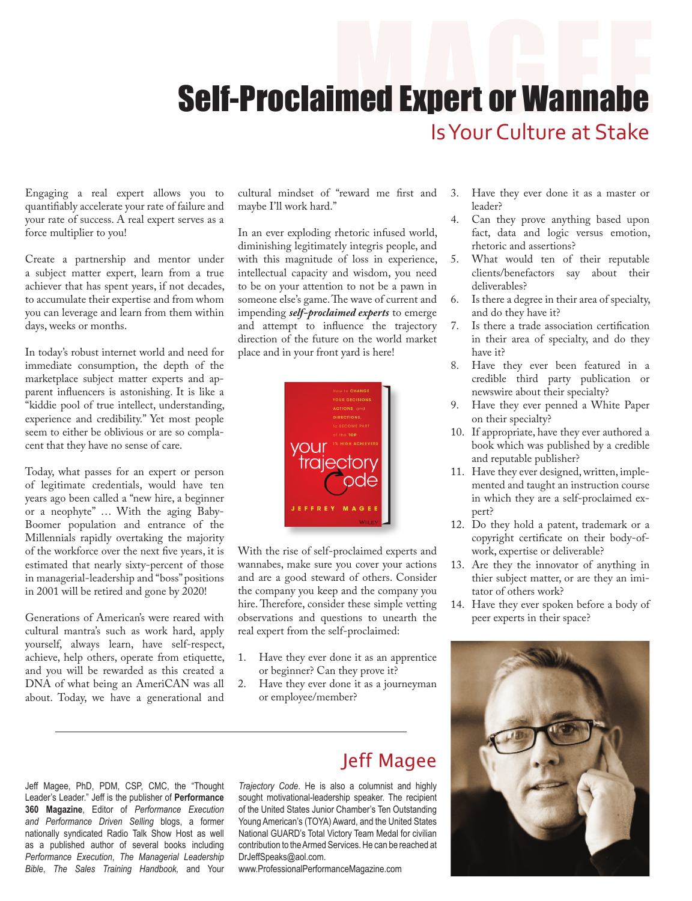## **Self-Proclaimed Expert or Wannabe** Is Your Culture at Stake

Engaging a real expert allows you to quantifiably accelerate your rate of failure and your rate of success. A real expert serves as a force multiplier to you!

Create a partnership and mentor under a subject matter expert, learn from a true achiever that has spent years, if not decades, to accumulate their expertise and from whom you can leverage and learn from them within days, weeks or months.

In today's robust internet world and need for immediate consumption, the depth of the marketplace subject matter experts and apparent influencers is astonishing. It is like a "kiddie pool of true intellect, understanding, experience and credibility." Yet most people seem to either be oblivious or are so complacent that they have no sense of care.

Today, what passes for an expert or person of legitimate credentials, would have ten years ago been called a "new hire, a beginner or a neophyte" … With the aging Baby-Boomer population and entrance of the Millennials rapidly overtaking the majority of the workforce over the next five years, it is estimated that nearly sixty-percent of those in managerial-leadership and "boss" positions in 2001 will be retired and gone by 2020!

Generations of American's were reared with cultural mantra's such as work hard, apply yourself, always learn, have self-respect, achieve, help others, operate from etiquette, and you will be rewarded as this created a DNA of what being an AmeriCAN was all about. Today, we have a generational and

cultural mindset of "reward me first and maybe I'll work hard."

In an ever exploding rhetoric infused world, diminishing legitimately integris people, and with this magnitude of loss in experience, intellectual capacity and wisdom, you need to be on your attention to not be a pawn in someone else's game. The wave of current and impending *self-proclaimed experts* to emerge and attempt to influence the trajectory direction of the future on the world market place and in your front yard is here!



With the rise of self-proclaimed experts and wannabes, make sure you cover your actions and are a good steward of others. Consider the company you keep and the company you hire. Therefore, consider these simple vetting observations and questions to unearth the real expert from the self-proclaimed:

- 1. Have they ever done it as an apprentice or beginner? Can they prove it?
- 2. Have they ever done it as a journeyman or employee/member?
- Jeff Magee, PhD, PDM, CSP, CMC, the "Thought Leader's Leader." Jeff is the publisher of **Performance 360 Magazine**, Editor of *Performance Execution and Performance Driven Selling* blogs, a former nationally syndicated Radio Talk Show Host as well as a published author of several books including *Performance Execution*, *The Managerial Leadership Bible*, *The Sales Training Handbook,* and Your

Jeff Magee

*Trajectory Code*. He is also a columnist and highly sought motivational-leadership speaker. The recipient of the United States Junior Chamber's Ten Outstanding Young American's (TOYA) Award, and the United States National GUARD's Total Victory Team Medal for civilian contribution to the Armed Services. He can be reached at DrJeffSpeaks@aol.com.

www.ProfessionalPerformanceMagazine.com

- 3. Have they ever done it as a master or leader?
- 4. Can they prove anything based upon fact, data and logic versus emotion, rhetoric and assertions?
- 5. What would ten of their reputable clients/benefactors say about their deliverables?
- 6. Is there a degree in their area of specialty, and do they have it?
- 7. Is there a trade association certification in their area of specialty, and do they have it?
- 8. Have they ever been featured in a credible third party publication or newswire about their specialty?
- 9. Have they ever penned a White Paper on their specialty?
- 10. If appropriate, have they ever authored a book which was published by a credible and reputable publisher?
- 11. Have they ever designed, written, implemented and taught an instruction course in which they are a self-proclaimed expert?
- 12. Do they hold a patent, trademark or a copyright certificate on their body-ofwork, expertise or deliverable?
- 13. Are they the innovator of anything in thier subject matter, or are they an imitator of others work?
- 14. Have they ever spoken before a body of peer experts in their space?